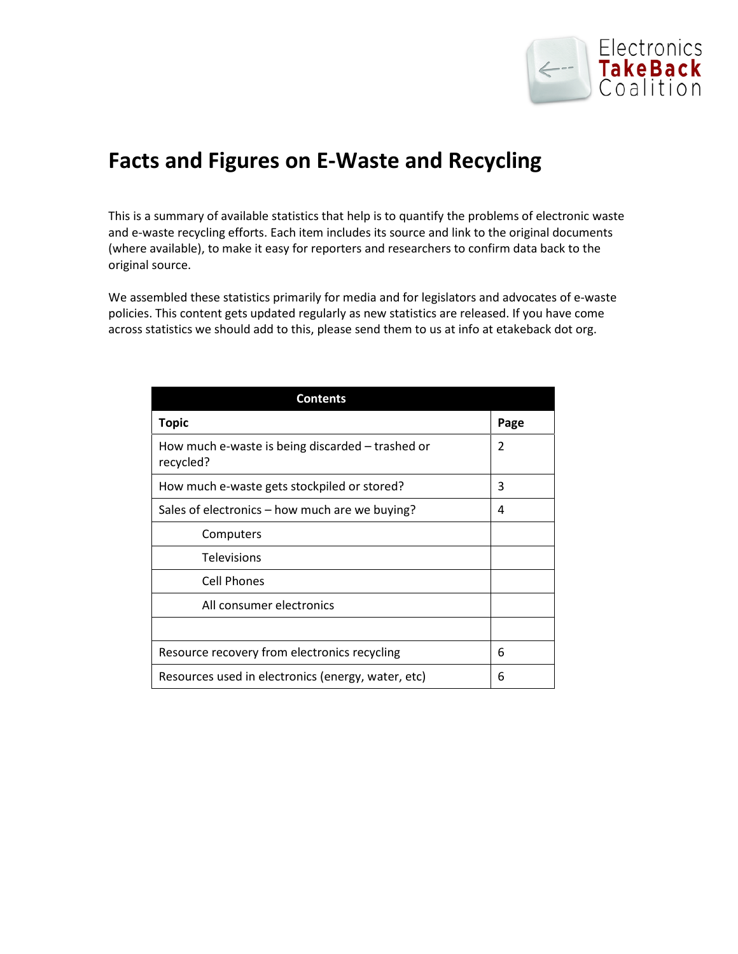

# **Facts and Figures on E-Waste and Recycling**

This is a summary of available statistics that help is to quantify the problems of electronic waste and e-waste recycling efforts. Each item includes its source and link to the original documents (where available), to make it easy for reporters and researchers to confirm data back to the original source.

We assembled these statistics primarily for media and for legislators and advocates of e-waste policies. This content gets updated regularly as new statistics are released. If you have come across statistics we should add to this, please send them to us at info at etakeback dot org.

| <b>Contents</b>                                               |      |
|---------------------------------------------------------------|------|
| <b>Topic</b>                                                  | Page |
| How much e-waste is being discarded – trashed or<br>recycled? | 2    |
| How much e-waste gets stockpiled or stored?                   | 3    |
| Sales of electronics – how much are we buying?                | 4    |
| Computers                                                     |      |
| <b>Televisions</b>                                            |      |
| Cell Phones                                                   |      |
| All consumer electronics                                      |      |
|                                                               |      |
| Resource recovery from electronics recycling                  | 6    |
| Resources used in electronics (energy, water, etc)            | 6    |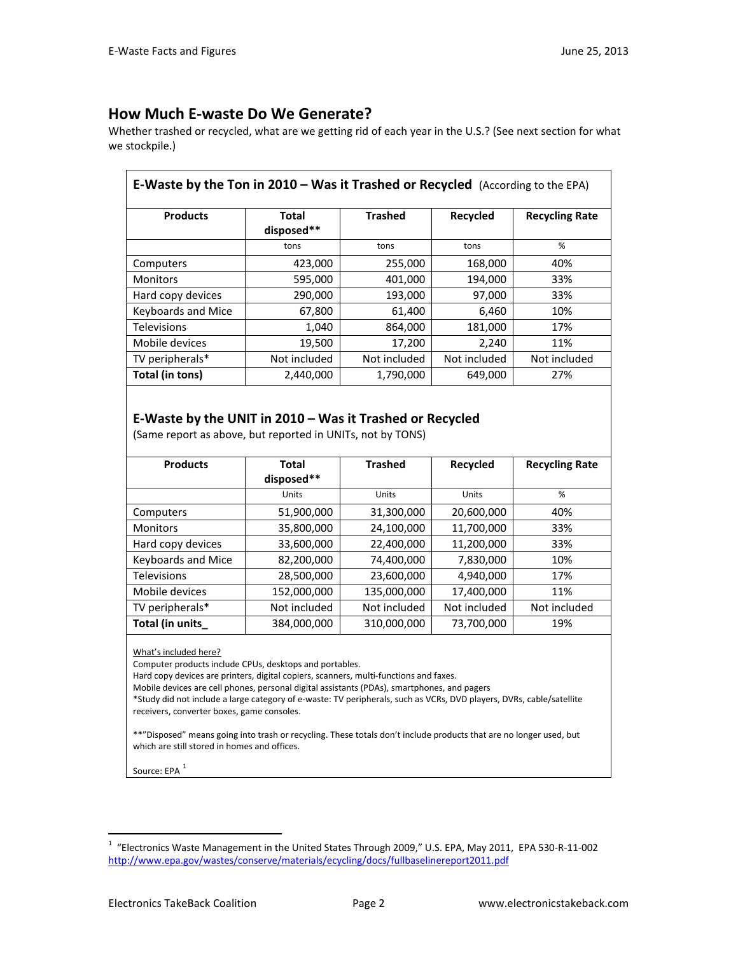### **How Much E-waste Do We Generate?**

Whether trashed or recycled, what are we getting rid of each year in the U.S.? (See next section for what we stockpile.)

| <b>E-Waste by the Ton in 2010 - Was it Trashed or Recycled</b> (According to the EPA) |                     |                |              |                       |
|---------------------------------------------------------------------------------------|---------------------|----------------|--------------|-----------------------|
| <b>Products</b>                                                                       | Total<br>disposed** | <b>Trashed</b> | Recycled     | <b>Recycling Rate</b> |
|                                                                                       | tons                | tons           | tons         | %                     |
| Computers                                                                             | 423,000             | 255,000        | 168,000      | 40%                   |
| <b>Monitors</b>                                                                       | 595,000             | 401,000        | 194,000      | 33%                   |
| Hard copy devices                                                                     | 290,000             | 193,000        | 97,000       | 33%                   |
| Keyboards and Mice                                                                    | 67,800              | 61,400         | 6,460        | 10%                   |
| <b>Televisions</b>                                                                    | 1,040               | 864,000        | 181,000      | 17%                   |
| Mobile devices                                                                        | 19,500              | 17,200         | 2,240        | 11%                   |
| TV peripherals*                                                                       | Not included        | Not included   | Not included | Not included          |
| Total (in tons)                                                                       | 2,440,000           | 1,790,000      | 649,000      | 27%                   |

### **E-Waste by the UNIT in 2010 – Was it Trashed or Recycled**

(Same report as above, but reported in UNITs, not by TONS)

| <b>Products</b>    | Total<br>disposed** | <b>Trashed</b> | Recycled     | <b>Recycling Rate</b> |
|--------------------|---------------------|----------------|--------------|-----------------------|
|                    | Units               | Units          | Units        | %                     |
| Computers          | 51,900,000          | 31,300,000     | 20,600,000   | 40%                   |
| <b>Monitors</b>    | 35,800,000          | 24,100,000     | 11,700,000   | 33%                   |
| Hard copy devices  | 33,600,000          | 22,400,000     | 11,200,000   | 33%                   |
| Keyboards and Mice | 82,200,000          | 74,400,000     | 7,830,000    | 10%                   |
| <b>Televisions</b> | 28,500,000          | 23,600,000     | 4,940,000    | 17%                   |
| Mobile devices     | 152,000,000         | 135,000,000    | 17,400,000   | 11%                   |
| TV peripherals*    | Not included        | Not included   | Not included | Not included          |
| Total (in units_   | 384,000,000         | 310,000,000    | 73,700,000   | 19%                   |

What's included here?

Computer products include CPUs, desktops and portables.

Hard copy devices are printers, digital copiers, scanners, multi-functions and faxes.

Mobile devices are cell phones, personal digital assistants (PDAs), smartphones, and pagers

\*Study did not include a large category of e-waste: TV peripherals, such as VCRs, DVD players, DVRs, cable/satellite receivers, converter boxes, game consoles.

\*\*"Disposed" means going into trash or recycling. These totals don't include products that are no longer used, but which are still stored in homes and offices.

Source: EPA<sup>[1](#page-1-0)</sup>

<span id="page-1-0"></span><sup>1</sup> "Electronics Waste Management in the United States Through 2009," U.S. EPA, May 2011, EPA 530-R-11-002 <http://www.epa.gov/wastes/conserve/materials/ecycling/docs/fullbaselinereport2011.pdf>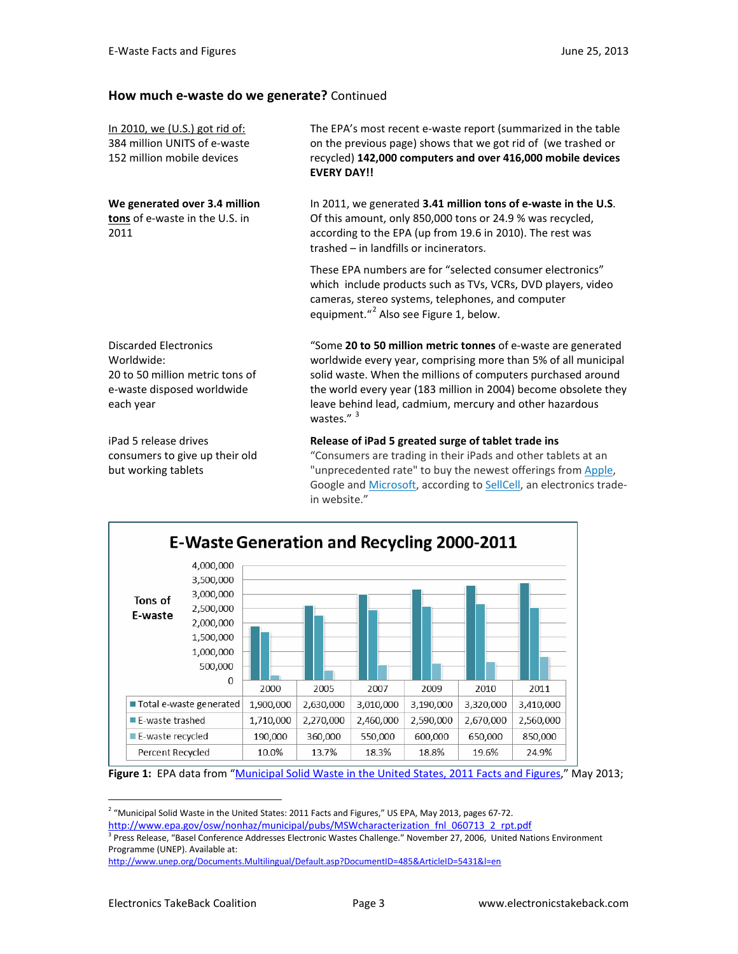#### **How much e-waste do we generate?** Continued

| The EPA's most recent e-waste report (summarized in the table<br>on the previous page) shows that we got rid of (we trashed or<br>recycled) 142,000 computers and over 416,000 mobile devices<br><b>EVERY DAY!!</b>                                                                                                                                    |
|--------------------------------------------------------------------------------------------------------------------------------------------------------------------------------------------------------------------------------------------------------------------------------------------------------------------------------------------------------|
| In 2011, we generated 3.41 million tons of e-waste in the U.S.<br>Of this amount, only 850,000 tons or 24.9 % was recycled,<br>according to the EPA (up from 19.6 in 2010). The rest was<br>trashed - in landfills or incinerators.                                                                                                                    |
| These EPA numbers are for "selected consumer electronics"<br>which include products such as TVs, VCRs, DVD players, video<br>cameras, stereo systems, telephones, and computer<br>equipment." <sup>2</sup> Also see Figure 1, below.                                                                                                                   |
| "Some 20 to 50 million metric tonnes of e-waste are generated<br>worldwide every year, comprising more than 5% of all municipal<br>solid waste. When the millions of computers purchased around<br>the world every year (183 million in 2004) become obsolete they<br>leave behind lead, cadmium, mercury and other hazardous<br>wastes." <sup>3</sup> |
| Release of iPad 5 greated surge of tablet trade ins<br>"Consumers are trading in their iPads and other tablets at an<br>"unprecedented rate" to buy the newest offerings from Apple,<br>Google and Microsoft, according to SellCell, an electronics trade-<br>in website."                                                                             |
|                                                                                                                                                                                                                                                                                                                                                        |



**Figure 1:** EPA data from ["Municipal Solid Waste in the United States, 2011 Facts and Figures,"](http://www.epa.gov/osw/nonhaz/municipal/pubs/MSWcharacterization_fnl_060713_2_rpt.pdf) May 2013;

<span id="page-2-0"></span> $2$  "Municipal Solid Waste in the United States: 2011 Facts and Figures," US EPA, May 2013, pages 67-72.

<span id="page-2-1"></span>http://www.epa.gov/osw/nonhaz/municipal/pubs/MSWcharacterization\_fnl\_060713\_2\_rpt.pdf<br><sup>3</sup> Press Release, "Basel Conference Addresses Electronic Wastes Challenge." November 27, 2006, United Nations Environment Programme (UNEP). Available at:

<http://www.unep.org/Documents.Multilingual/Default.asp?DocumentID=485&ArticleID=5431&l=en>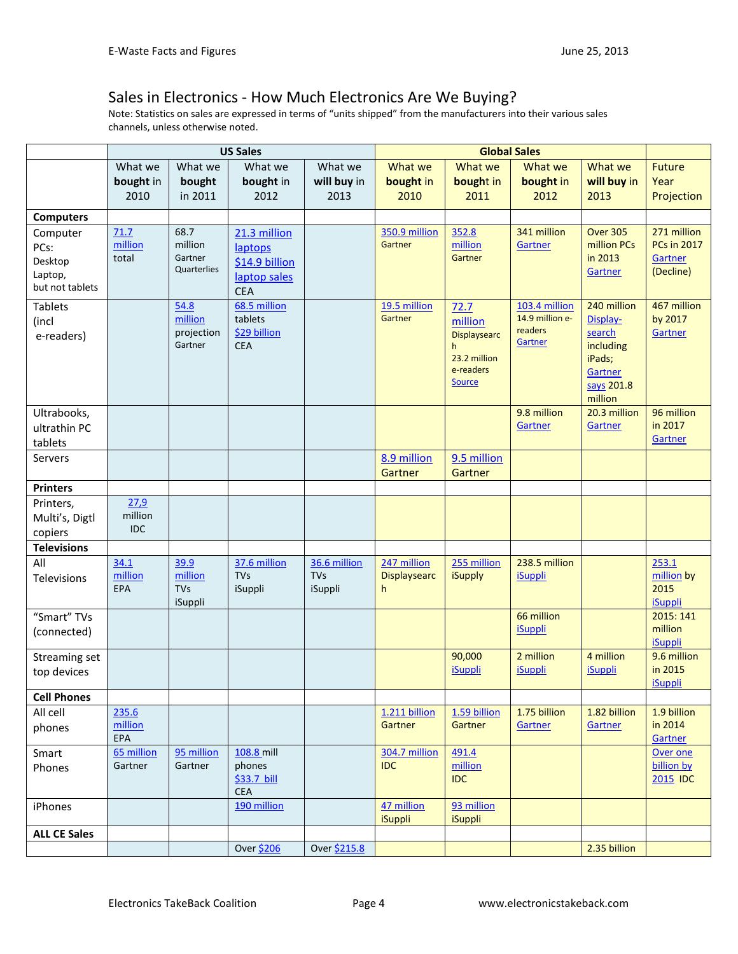### Sales in Electronics - How Much Electronics Are We Buying?

Note: Statistics on sales are expressed in terms of "units shipped" from the manufacturers into their various sales channels, unless otherwise noted.

|                           | <b>US Sales</b> |                        |                         | <b>Global Sales</b> |                     |                          |                                  |                     |                           |
|---------------------------|-----------------|------------------------|-------------------------|---------------------|---------------------|--------------------------|----------------------------------|---------------------|---------------------------|
|                           | What we         | What we                | What we                 | What we             | What we             | What we                  | What we                          | What we             | <b>Future</b>             |
|                           | bought in       | bought                 | bought in               | will buy in         | bought in           | bought in                | bought in                        | will buy in         | Year                      |
|                           | 2010            | in 2011                | 2012                    | 2013                | 2010                | 2011                     | 2012                             | 2013                | Projection                |
| <b>Computers</b>          |                 |                        |                         |                     |                     |                          |                                  |                     |                           |
| Computer                  | 71.7            | 68.7                   | 21.3 million            |                     | 350.9 million       | 352.8                    | 341 million                      | <b>Over 305</b>     | 271 million               |
| PCs:                      | million         | million                | laptops                 |                     | Gartner             | million                  | Gartner                          | million PCs         | <b>PCs in 2017</b>        |
| Desktop                   | total           | Gartner<br>Quarterlies | \$14.9 billion          |                     |                     | Gartner                  |                                  | in 2013             | Gartner                   |
| Laptop,                   |                 |                        | laptop sales            |                     |                     |                          |                                  | Gartner             | (Decline)                 |
| but not tablets           |                 |                        | <b>CEA</b>              |                     |                     |                          |                                  |                     |                           |
| <b>Tablets</b>            |                 | 54.8                   | 68.5 million            |                     | 19.5 million        | 72.7                     | 103.4 million<br>14.9 million e- | 240 million         | 467 million               |
| (incl                     |                 | million<br>projection  | tablets<br>\$29 billion |                     | Gartner             | million                  | readers                          | Display-            | by 2017<br>Gartner        |
| e-readers)                |                 | Gartner                | <b>CEA</b>              |                     |                     | <b>Displaysearc</b><br>h | Gartner                          | search<br>including |                           |
|                           |                 |                        |                         |                     |                     | 23.2 million             |                                  | iPads;              |                           |
|                           |                 |                        |                         |                     |                     | e-readers                |                                  | Gartner             |                           |
|                           |                 |                        |                         |                     |                     | <b>Source</b>            |                                  | says 201.8          |                           |
|                           |                 |                        |                         |                     |                     |                          |                                  | million             |                           |
| Ultrabooks,               |                 |                        |                         |                     |                     |                          | 9.8 million                      | 20.3 million        | 96 million<br>in 2017     |
| ultrathin PC              |                 |                        |                         |                     |                     |                          | Gartner                          | Gartner             | Gartner                   |
| tablets<br><b>Servers</b> |                 |                        |                         |                     | 8.9 million         | 9.5 million              |                                  |                     |                           |
|                           |                 |                        |                         |                     | Gartner             | Gartner                  |                                  |                     |                           |
| <b>Printers</b>           |                 |                        |                         |                     |                     |                          |                                  |                     |                           |
| Printers,                 | 27,9            |                        |                         |                     |                     |                          |                                  |                     |                           |
| Multi's, Digtl            | million         |                        |                         |                     |                     |                          |                                  |                     |                           |
| copiers                   | <b>IDC</b>      |                        |                         |                     |                     |                          |                                  |                     |                           |
| <b>Televisions</b>        |                 |                        |                         |                     |                     |                          |                                  |                     |                           |
| All                       | 34.1            | 39.9                   | 37.6 million            | 36.6 million        | 247 million         | 255 million              | 238.5 million                    |                     | 253.1                     |
| Televisions               | million         | million                | <b>TVs</b>              | <b>TVs</b>          | <b>Displaysearc</b> | <b>iSupply</b>           | <b>iSuppli</b>                   |                     | million by                |
|                           | EPA             | <b>TVs</b><br>iSuppli  | iSuppli                 | iSuppli             | h                   |                          |                                  |                     | 2015<br><b>iSuppli</b>    |
| "Smart" TVs               |                 |                        |                         |                     |                     |                          | 66 million                       |                     | 2015: 141                 |
| (connected)               |                 |                        |                         |                     |                     |                          | <b>iSuppli</b>                   |                     | million                   |
|                           |                 |                        |                         |                     |                     |                          |                                  |                     | <b>iSuppli</b>            |
| Streaming set             |                 |                        |                         |                     |                     | 90,000                   | 2 million                        | 4 million           | 9.6 million               |
| top devices               |                 |                        |                         |                     |                     | <b>iSuppli</b>           | <b>iSuppli</b>                   | <b>iSuppli</b>      | in 2015<br><b>iSuppli</b> |
| <b>Cell Phones</b>        |                 |                        |                         |                     |                     |                          |                                  |                     |                           |
| All cell                  | 235.6           |                        |                         |                     | 1.211 billion       | 1.59 billion             | 1.75 billion                     | 1.82 billion        | 1.9 billion               |
| phones                    | million         |                        |                         |                     | Gartner             | Gartner                  | Gartner                          | Gartner             | in 2014                   |
|                           | EPA             |                        |                         |                     |                     |                          |                                  |                     | Gartner                   |
| Smart                     | 65 million      | 95 million             | 108.8 mill              |                     | 304.7 million       | 491.4                    |                                  |                     | Over one                  |
| Phones                    | Gartner         | Gartner                | phones<br>\$33.7 bill   |                     | <b>IDC</b>          | million<br><b>IDC</b>    |                                  |                     | billion by<br>2015 IDC    |
|                           |                 |                        | <b>CEA</b>              |                     |                     |                          |                                  |                     |                           |
| iPhones                   |                 |                        | 190 million             |                     | 47 million          | 93 million               |                                  |                     |                           |
|                           |                 |                        |                         |                     | <b>iSuppli</b>      | <b>iSuppli</b>           |                                  |                     |                           |
| <b>ALL CE Sales</b>       |                 |                        |                         |                     |                     |                          |                                  |                     |                           |
|                           |                 |                        | Over \$206              | Over \$215.8        |                     |                          |                                  | 2.35 billion        |                           |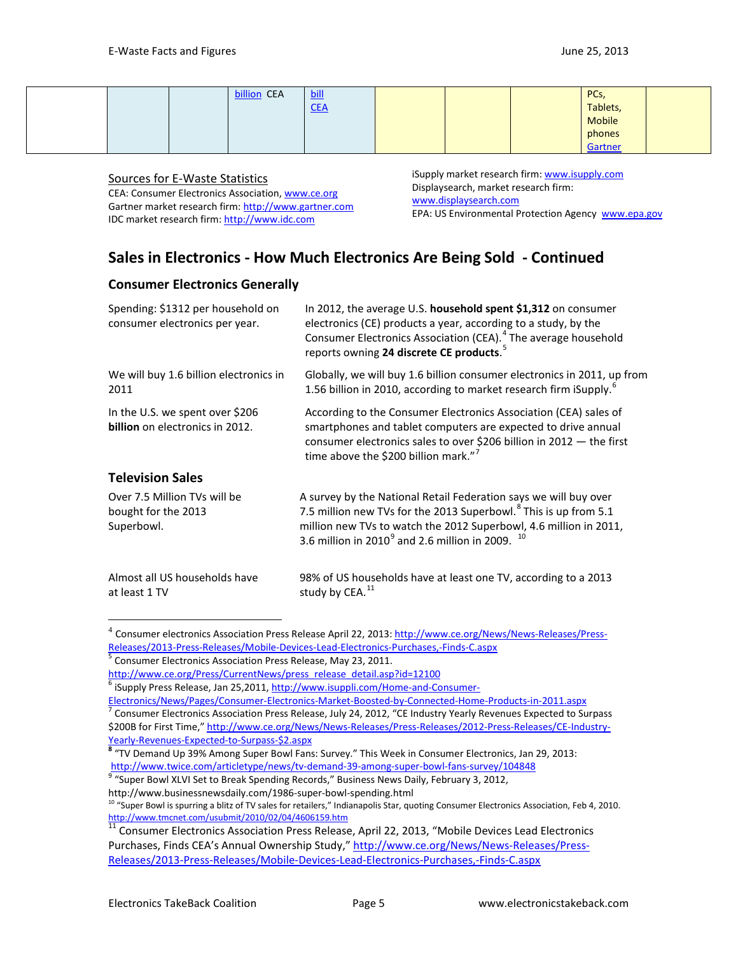#### Sources for E-Waste Statistics

CEA: Consumer Electronics Association, [www.ce.org](http://www.ce.org/) Gartner market research firm: [http://www.gartner.com](http://www.gartner.com/) IDC market research firm: [http://www.idc.com](http://www.idc.com/)

iSupply market research firm: [www.isupply.com](http://www.isupply.com/) Displaysearch, market research firm: [www.displaysearch.com](http://www.displaysearch.com/) EPA: US Environmental Protection Agency [www.epa.gov](http://www.epa.gov/)

# **Sales in Electronics - How Much Electronics Are Being Sold - Continued**

#### **Consumer Electronics Generally**

| Spending: \$1312 per household on<br>consumer electronics per year. | In 2012, the average U.S. household spent \$1,312 on consumer<br>electronics (CE) products a year, according to a study, by the<br>Consumer Electronics Association (CEA). <sup>4</sup> The average household<br>reports owning 24 discrete CE products. <sup>5</sup>                        |
|---------------------------------------------------------------------|----------------------------------------------------------------------------------------------------------------------------------------------------------------------------------------------------------------------------------------------------------------------------------------------|
| We will buy 1.6 billion electronics in<br>2011                      | Globally, we will buy 1.6 billion consumer electronics in 2011, up from<br>1.56 billion in 2010, according to market research firm iSupply. <sup>6</sup>                                                                                                                                     |
| In the U.S. we spent over \$206<br>billion on electronics in 2012.  | According to the Consumer Electronics Association (CEA) sales of<br>smartphones and tablet computers are expected to drive annual<br>consumer electronics sales to over \$206 billion in 2012 $-$ the first<br>time above the \$200 billion mark." <sup>7</sup>                              |
| <b>Television Sales</b>                                             |                                                                                                                                                                                                                                                                                              |
| Over 7.5 Million TVs will be<br>bought for the 2013<br>Superbowl.   | A survey by the National Retail Federation says we will buy over<br>7.5 million new TVs for the 2013 Superbowl. <sup>8</sup> This is up from 5.1<br>million new TVs to watch the 2012 Superbowl, 4.6 million in 2011,<br>3.6 million in 2010 <sup>9</sup> and 2.6 million in 2009. $10^{10}$ |
| Almost all US households have<br>at least 1 TV                      | 98% of US households have at least one TV, according to a 2013<br>study by CEA. <sup>11</sup>                                                                                                                                                                                                |

<span id="page-4-0"></span><sup>&</sup>lt;sup>4</sup> Consumer electronics Association Press Release April 22, 2013[: http://www.ce.org/News/News-Releases/Press-](http://www.ce.org/News/News-Releases/Press-Releases/2013-Press-Releases/Mobile-Devices-Lead-Electronics-Purchases,-Finds-C.aspx)[Releases/2013-Press-Releases/Mobile-Devices-Lead-Electronics-Purchases,-Finds-C.aspx](http://www.ce.org/News/News-Releases/Press-Releases/2013-Press-Releases/Mobile-Devices-Lead-Electronics-Purchases,-Finds-C.aspx) 5<br>
5 Consumer Electronics Association Press Release, May 23, 2011.

<span id="page-4-2"></span><span id="page-4-1"></span>http://www.ce.org/Press/CurrentNews/press\_release\_detail.asp?id=12100<br><sup>6</sup> iSupply Press Release, Jan 25,2011[, http://www.isuppli.com/Home-and-Consumer-](http://www.isuppli.com/Home-and-Consumer-Electronics/News/Pages/Consumer-Electronics-Market-Boosted-by-Connected-Home-Products-in-2011.aspx)

[Electronics/News/Pages/Consumer-Electronics-Market-Boosted-by-Connected-Home-Products-in-2011.aspx 7](http://www.isuppli.com/Home-and-Consumer-Electronics/News/Pages/Consumer-Electronics-Market-Boosted-by-Connected-Home-Products-in-2011.aspx) Consumer Electronics Association Press Release, July 24, 2012, "CE Industry Yearly Revenues Expected to Surpass

<span id="page-4-3"></span><sup>\$200</sup>B for First Time," [http://www.ce.org/News/News-Releases/Press-Releases/2012-Press-Releases/CE-Industry-](http://www.ce.org/News/News-Releases/Press-Releases/2012-Press-Releases/CE-Industry-Yearly-Revenues-Expected-to-Surpass-$2.aspx)

<span id="page-4-4"></span>[Yearly-Revenues-Expected-to-Surpass-\\$2.aspx](http://www.ce.org/News/News-Releases/Press-Releases/2012-Press-Releases/CE-Industry-Yearly-Revenues-Expected-to-Surpass-$2.aspx)<br><sup>8</sup> "TV Demand Up 39% Among Super Bowl Fans: Survey." This Week in Consumer Electronics, Jan 29, 2013: <http://www.twice.com/articletype/news/tv-demand-39-among-super-bowl-fans-survey/104848><br><sup>9</sup> "Super Bowl XLVI Set to Break Spending Records," Business News Daily, February 3, 2012,

<span id="page-4-5"></span>http://www.businessnewsdaily.com/1986-super-bowl-spending.html

<span id="page-4-6"></span><sup>&</sup>lt;sup>10</sup> "Super Bowl is spurring a blitz of TV sales for retailers," Indianapolis Star, quoting Consumer Electronics Association, Feb 4, 2010.<br>http://www.tmcnet.com/usubmit/2010/02/04/4606159.htm

<span id="page-4-7"></span><sup>11</sup> Consumer Electronics Association Press Release, April 22, 2013, "Mobile Devices Lead Electronics Purchases, Finds CEA's Annual Ownership Study," [http://www.ce.org/News/News-Releases/Press-](http://www.ce.org/News/News-Releases/Press-Releases/2013-Press-Releases/Mobile-Devices-Lead-Electronics-Purchases,-Finds-C.aspx)[Releases/2013-Press-Releases/Mobile-Devices-Lead-Electronics-Purchases,-Finds-C.aspx](http://www.ce.org/News/News-Releases/Press-Releases/2013-Press-Releases/Mobile-Devices-Lead-Electronics-Purchases,-Finds-C.aspx)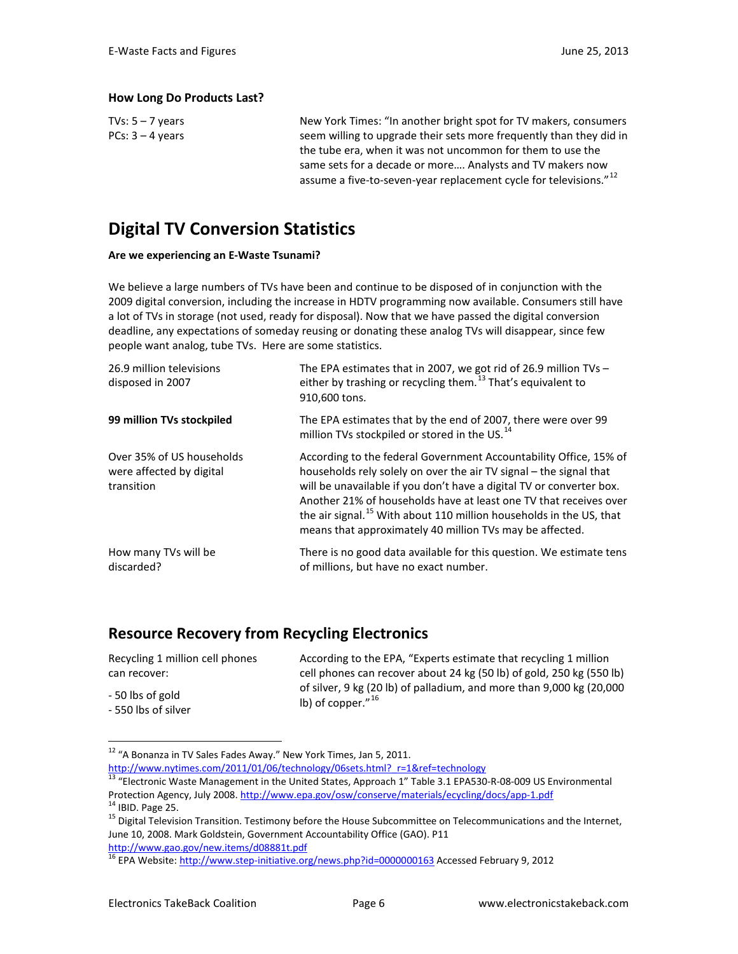#### **How Long Do Products Last?**

| TVs: $5 - 7$ years | New York Times: "In another bright spot for TV makers, consumers              |
|--------------------|-------------------------------------------------------------------------------|
| $PCs: 3 - 4$ vears | seem willing to upgrade their sets more frequently than they did in           |
|                    | the tube era, when it was not uncommon for them to use the                    |
|                    | same sets for a decade or more Analysts and TV makers now                     |
|                    | assume a five-to-seven-year replacement cycle for televisions." <sup>12</sup> |

# **Digital TV Conversion Statistics**

#### **Are we experiencing an E-Waste Tsunami?**

We believe a large numbers of TVs have been and continue to be disposed of in conjunction with the 2009 digital conversion, including the increase in HDTV programming now available. Consumers still have a lot of TVs in storage (not used, ready for disposal). Now that we have passed the digital conversion deadline, any expectations of someday reusing or donating these analog TVs will disappear, since few people want analog, tube TVs. Here are some statistics.

| The EPA estimates that in 2007, we got rid of 26.9 million TVs $-$<br>either by trashing or recycling them. $^{13}$ That's equivalent to<br>910,600 tons.                                                                                                                                                                                                                                                                           |
|-------------------------------------------------------------------------------------------------------------------------------------------------------------------------------------------------------------------------------------------------------------------------------------------------------------------------------------------------------------------------------------------------------------------------------------|
| The EPA estimates that by the end of 2007, there were over 99<br>million TVs stockpiled or stored in the US. <sup>14</sup>                                                                                                                                                                                                                                                                                                          |
| According to the federal Government Accountability Office, 15% of<br>households rely solely on over the air TV signal – the signal that<br>will be unavailable if you don't have a digital TV or converter box.<br>Another 21% of households have at least one TV that receives over<br>the air signal. <sup>15</sup> With about 110 million households in the US, that<br>means that approximately 40 million TVs may be affected. |
| There is no good data available for this question. We estimate tens<br>of millions, but have no exact number.                                                                                                                                                                                                                                                                                                                       |
|                                                                                                                                                                                                                                                                                                                                                                                                                                     |

### **Resource Recovery from Recycling Electronics**

| Recycling 1 million cell phones         | According to the EPA, "Experts estimate that recycling 1 million                             |
|-----------------------------------------|----------------------------------------------------------------------------------------------|
| can recover:                            | cell phones can recover about 24 kg (50 lb) of gold, 250 kg (550 lb)                         |
| - 50 lbs of gold<br>- 550 lbs of silver | of silver, 9 kg (20 lb) of palladium, and more than 9,000 kg (20,000<br>lb) of copper." $16$ |

<span id="page-5-0"></span><sup>&</sup>lt;sup>12</sup> "A Bonanza in TV Sales Fades Away." New York Times, Jan 5, 2011.<br>http://www.nytimes.com/2011/01/06/technology/06sets.html? r=1&ref=technology

<span id="page-5-1"></span> $\frac{13}{13}$  "Electronic Waste Management in the United States, Approach 1" Table 3.1 EPA530-R-08-009 US Environmental Protection Agency, July 2008[. http://www.epa.gov/osw/conserve/materials/ecycling/docs/app-1.pdf](http://www.epa.gov/osw/conserve/materials/ecycling/docs/app-1.pdf)<br><sup>14</sup> IBID. Page 25.<br><sup>15</sup> Digital Television Transition. Testimony before the House Subcommittee on Telecommunications and the

<span id="page-5-3"></span><span id="page-5-2"></span>June 10, 2008. Mark Goldstein, Government Accountability Office (GAO). P11<br>http://www.gao.gov/new.items/d08881t.pdf

<span id="page-5-4"></span> $\frac{16}{16}$  EPA Website:<http://www.step-initiative.org/news.php?id=0000000163> Accessed February 9, 2012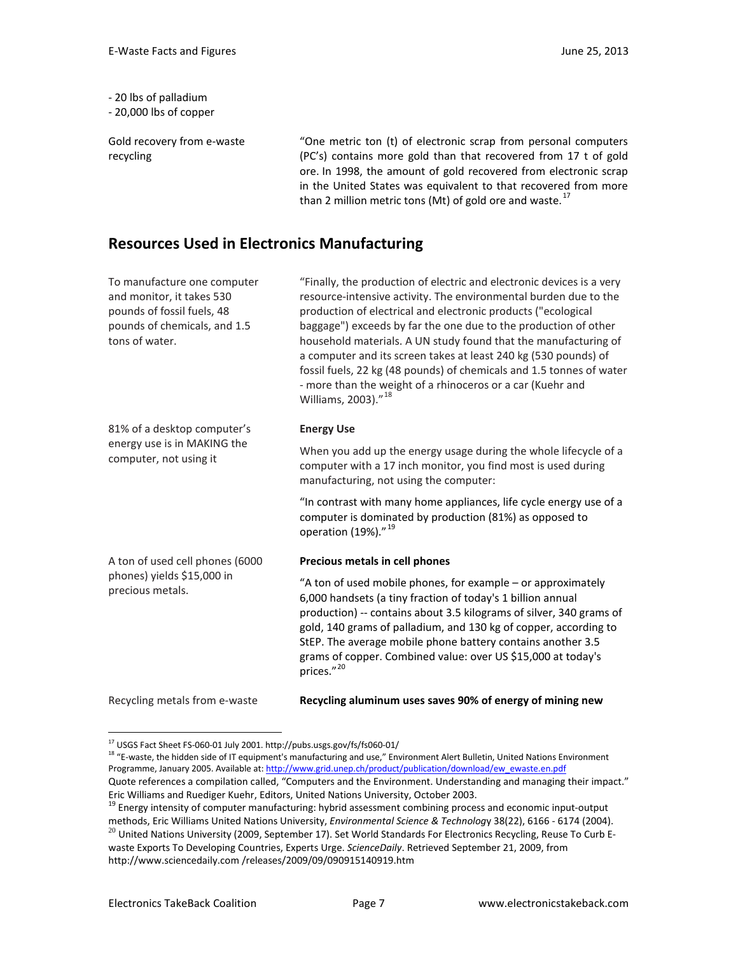- 20 lbs of palladium

- 20,000 lbs of copper

Gold recovery from e-waste recycling

"One metric ton (t) of electronic scrap from personal computers (PC's) contains more gold than that recovered from 17 t of gold ore. In 1998, the amount of gold recovered from electronic scrap in the United States was equivalent to that recovered from more than 2 million metric tons (Mt) of gold ore and waste.<sup>[17](#page-6-0)</sup>

## **Resources Used in Electronics Manufacturing**

| To manufacture one computer<br>and monitor, it takes 530<br>pounds of fossil fuels, 48<br>pounds of chemicals, and 1.5<br>tons of water. | "Finally, the production of electric and electronic devices is a very<br>resource-intensive activity. The environmental burden due to the<br>production of electrical and electronic products ("ecological<br>baggage") exceeds by far the one due to the production of other<br>household materials. A UN study found that the manufacturing of<br>a computer and its screen takes at least 240 kg (530 pounds) of<br>fossil fuels, 22 kg (48 pounds) of chemicals and 1.5 tonnes of water<br>- more than the weight of a rhinoceros or a car (Kuehr and<br>Williams, 2003)." <sup>18</sup> |
|------------------------------------------------------------------------------------------------------------------------------------------|----------------------------------------------------------------------------------------------------------------------------------------------------------------------------------------------------------------------------------------------------------------------------------------------------------------------------------------------------------------------------------------------------------------------------------------------------------------------------------------------------------------------------------------------------------------------------------------------|
| 81% of a desktop computer's                                                                                                              | <b>Energy Use</b>                                                                                                                                                                                                                                                                                                                                                                                                                                                                                                                                                                            |
| energy use is in MAKING the<br>computer, not using it                                                                                    | When you add up the energy usage during the whole lifecycle of a<br>computer with a 17 inch monitor, you find most is used during<br>manufacturing, not using the computer:                                                                                                                                                                                                                                                                                                                                                                                                                  |
|                                                                                                                                          | "In contrast with many home appliances, life cycle energy use of a<br>computer is dominated by production (81%) as opposed to<br>operation (19%)." <sup>19</sup>                                                                                                                                                                                                                                                                                                                                                                                                                             |
| A ton of used cell phones (6000                                                                                                          | Precious metals in cell phones                                                                                                                                                                                                                                                                                                                                                                                                                                                                                                                                                               |
| phones) yields \$15,000 in<br>precious metals.                                                                                           | "A ton of used mobile phones, for example - or approximately<br>6,000 handsets (a tiny fraction of today's 1 billion annual<br>production) -- contains about 3.5 kilograms of silver, 340 grams of<br>gold, 140 grams of palladium, and 130 kg of copper, according to<br>StEP. The average mobile phone battery contains another 3.5<br>grams of copper. Combined value: over US \$15,000 at today's<br>prices."20                                                                                                                                                                          |
| Recycling metals from e-waste                                                                                                            | Recycling aluminum uses saves 90% of energy of mining new                                                                                                                                                                                                                                                                                                                                                                                                                                                                                                                                    |

<span id="page-6-1"></span><span id="page-6-0"></span><sup>&</sup>lt;sup>17</sup> USGS Fact Sheet FS-060-01 July 2001. http://pubs.usgs.gov/fs/fs060-01/<br><sup>18</sup> "E-waste, the hidden side of IT equipment's manufacturing and use," Environment Alert Bulletin, United Nations Environment Programme, January 2005. Available at: [http://www.grid.unep.ch/product/publication/download/ew\\_ewaste.en.pdf](http://www.grid.unep.ch/product/publication/download/ew_ewaste.en.pdf) Quote references a compilation called, "Computers and the Environment. Understanding and managing their impact."

Eric Williams and Ruediger Kuehr, Editors, United Nations University, October 2003.

<span id="page-6-2"></span><sup>&</sup>lt;sup>19</sup> Energy intensity of computer manufacturing: hybrid assessment combining process and economic input-output

<span id="page-6-3"></span>methods, Eric Williams United Nations University, *Environmental Science & Technolog*y 38(22), 6166 - 6174 (2004).  $^{20}$  United Nations University (2009, September 17). Set World Standards For Electronics Recycling, Reuse To Curb Ewaste Exports To Developing Countries, Experts Urge. *ScienceDaily*. Retrieved September 21, 2009, from http://www.sciencedaily.com /releases/2009/09/090915140919.htm